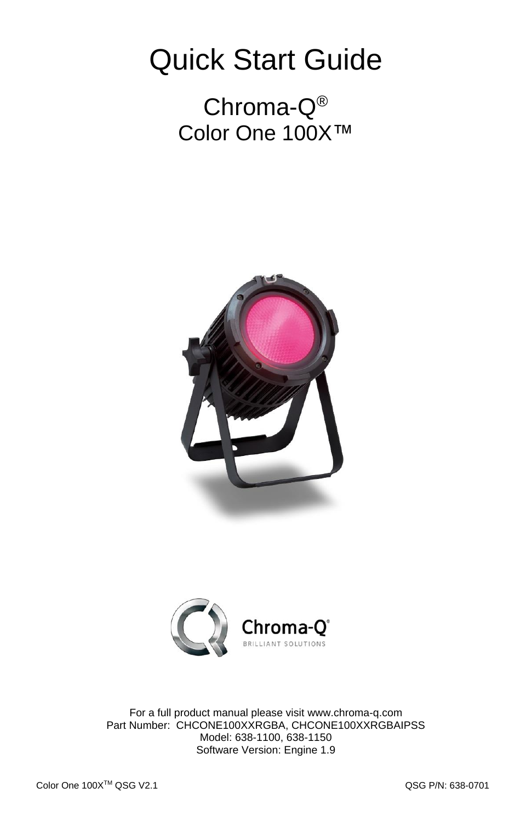## Quick Start Guide

Chroma-Q® Color One 100X™





For a full product manual please visit [www.chroma-q.com](http://www.chroma-q.com/) Part Number: CHCONE100XXRGBA, CHCONE100XXRGBAIPSS Model: 638-1100, 638-1150 Software Version: Engine 1.9

QSG P/N: 638-0701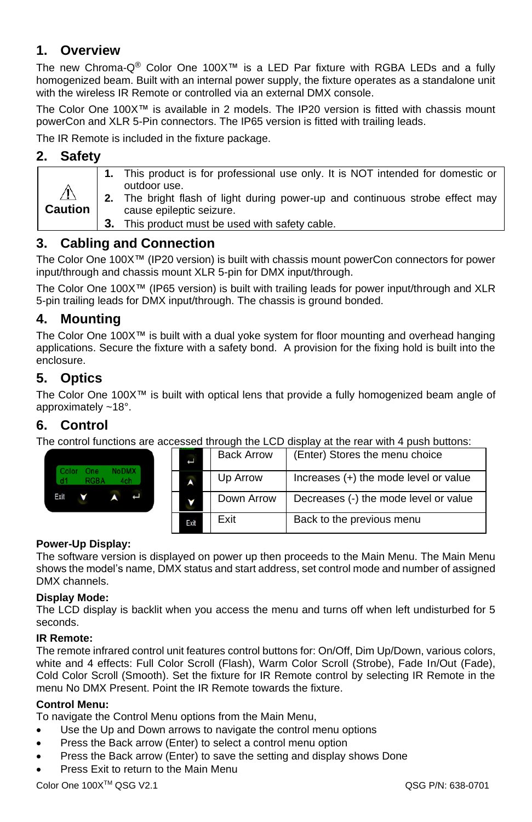### **1. Overview**

The new Chroma-Q® Color One 100X™ is a LED Par fixture with RGBA LEDs and a fully homogenized beam. Built with an internal power supply, the fixture operates as a standalone unit with the wireless IR Remote or controlled via an external DMX console.

The Color One 100X™ is available in 2 models. The IP20 version is fitted with chassis mount powerCon and XLR 5-Pin connectors. The IP65 version is fitted with trailing leads.

The IR Remote is included in the fixture package.

#### **2. Safety**

| <b>Caution</b> | 1. This product is for professional use only. It is NOT intended for domestic or<br>outdoor use.<br>2. The bright flash of light during power-up and continuous strobe effect may |
|----------------|-----------------------------------------------------------------------------------------------------------------------------------------------------------------------------------|
|                | cause epileptic seizure.<br>3. This product must be used with safety cable.                                                                                                       |

### **3. Cabling and Connection**

The Color One 100X™ (IP20 version) is built with chassis mount powerCon connectors for power input/through and chassis mount XLR 5-pin for DMX input/through.

The Color One 100X™ (IP65 version) is built with trailing leads for power input/through and XLR 5-pin trailing leads for DMX input/through. The chassis is ground bonded.

#### **4. Mounting**

The Color One 100X™ is built with a dual yoke system for floor mounting and overhead hanging applications. Secure the fixture with a safety bond. A provision for the fixing hold is built into the enclosure.

#### **5. Optics**

The Color One 100X™ is built with optical lens that provide a fully homogenized beam angle of approximately ~18°.

#### **6. Control**

The control functions are accessed through the LCD display at the rear with 4 push buttons:

| NoDMX <sup>7</sup><br>Color<br>9nG | Ë    | <b>Back Arrow</b> | (Enter) Stores the menu choice          |
|------------------------------------|------|-------------------|-----------------------------------------|
| RGBA<br>4ch.                       |      | Up Arrow          | Increases $(+)$ the mode level or value |
| Exit                               |      | Down Arrow        | Decreases (-) the mode level or value   |
|                                    | Exit | Exit              | Back to the previous menu               |

#### **Power-Up Display:**

The software version is displayed on power up then proceeds to the Main Menu. The Main Menu shows the model's name, DMX status and start address, set control mode and number of assigned DMX channels.

#### **Display Mode:**

The LCD display is backlit when you access the menu and turns off when left undisturbed for 5 seconds.

#### **IR Remote:**

The remote infrared control unit features control buttons for: On/Off, Dim Up/Down, various colors, white and 4 effects: Full Color Scroll (Flash), Warm Color Scroll (Strobe), Fade In/Out (Fade), Cold Color Scroll (Smooth). Set the fixture for IR Remote control by selecting IR Remote in the menu No DMX Present. Point the IR Remote towards the fixture.

#### **Control Menu:**

To navigate the Control Menu options from the Main Menu,

- Use the Up and Down arrows to navigate the control menu options
- Press the Back arrow (Enter) to select a control menu option
- Press the Back arrow (Enter) to save the setting and display shows Done
- Press Exit to return to the Main Menu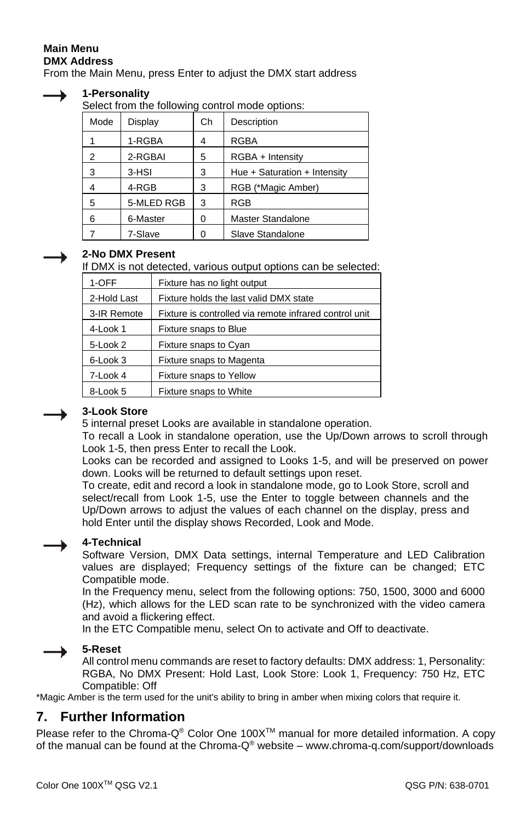#### **Main Menu DMX Address**

From the Main Menu, press Enter to adjust the DMX start address



#### **1-Personality**

Select from the following control mode options:

| Mode | Display    | Ch | Description                  |
|------|------------|----|------------------------------|
|      | 1-RGBA     |    | <b>RGBA</b>                  |
| 2    | 2-RGBAI    | 5  | RGBA + Intensity             |
| 3    | 3-HSI      | 3  | Hue + Saturation + Intensity |
| 4    | 4-RGB      | 3  | RGB (*Magic Amber)           |
| 5    | 5-MLED RGB | 3  | <b>RGB</b>                   |
| 6    | 6-Master   | 0  | Master Standalone            |
|      | 7-Slave    |    | Slave Standalone             |

#### **2-No DMX Present**

If DMX is not detected, various output options can be selected:

| 1-OFF       | Fixture has no light output                            |  |  |  |
|-------------|--------------------------------------------------------|--|--|--|
| 2-Hold Last | Fixture holds the last valid DMX state                 |  |  |  |
| 3-IR Remote | Fixture is controlled via remote infrared control unit |  |  |  |
| 4-Look 1    | Fixture snaps to Blue                                  |  |  |  |
| 5-Look 2    | Fixture snaps to Cyan                                  |  |  |  |
| 6-Look 3    | Fixture snaps to Magenta                               |  |  |  |
| 7-Look 4    | Fixture snaps to Yellow                                |  |  |  |
| 8-Look 5    | Fixture snaps to White                                 |  |  |  |

#### **3-Look Store**

5 internal preset Looks are available in standalone operation.

To recall a Look in standalone operation, use the Up/Down arrows to scroll through Look 1-5, then press Enter to recall the Look.

Looks can be recorded and assigned to Looks 1-5, and will be preserved on power down. Looks will be returned to default settings upon reset.

To create, edit and record a look in standalone mode, go to Look Store, scroll and select/recall from Look 1-5, use the Enter to toggle between channels and the Up/Down arrows to adjust the values of each channel on the display, press and hold Enter until the display shows Recorded, Look and Mode.

#### **4-Technical**

Software Version, DMX Data settings, internal Temperature and LED Calibration values are displayed; Frequency settings of the fixture can be changed; ETC Compatible mode.

In the Frequency menu, select from the following options: 750, 1500, 3000 and 6000 (Hz), which allows for the LED scan rate to be synchronized with the video camera and avoid a flickering effect.

In the ETC Compatible menu, select On to activate and Off to deactivate.

#### **5-Reset**

All control menu commands are reset to factory defaults: DMX address: 1, Personality: RGBA, No DMX Present: Hold Last, Look Store: Look 1, Frequency: 750 Hz, ETC Compatible: Off

\*Magic Amber is the term used for the unit's ability to bring in amber when mixing colors that require it.

#### **7. Further Information**

Please refer to the Chroma-Q<sup>®</sup> Color One 100X<sup>™</sup> manual for more detailed information. A copy of the manual can be found at the Chroma-Q® website – www.chroma-q.com/support/downloads